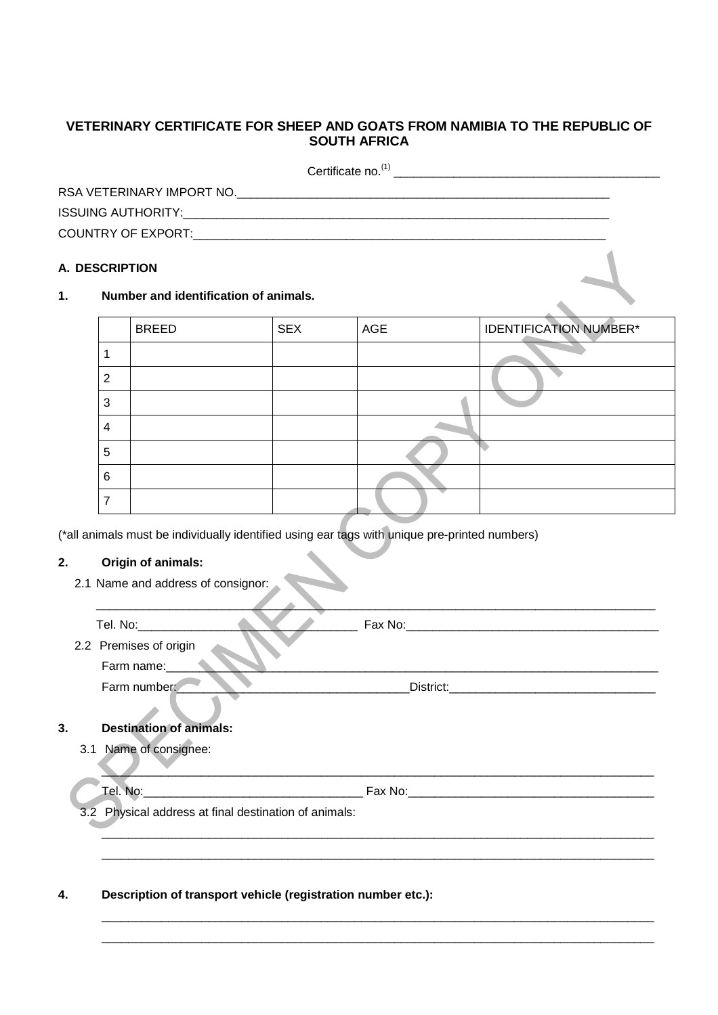## **VETERINARY CERTIFICATE FOR SHEEP AND GOATS FROM NAMIBIA TO THE REPUBLIC OF SOUTH AFRICA**

| Certificate no. <sup>(1)</sup>                                                                                                                                   |  |
|------------------------------------------------------------------------------------------------------------------------------------------------------------------|--|
| RSA VETERINARY IMPORT NO.                                                                                                                                        |  |
|                                                                                                                                                                  |  |
| COUNTRY OF EXPORT: A COUNTRY OF EXPORT OF A COUNTRY OF EXPORT OF A COUNTRY OF EXPORT OF A COUNTRY OF A COUNTRY OF A COUNTRY OF A COUNTRY OF A COUNTRY OF EXPORT. |  |

## **A. DESCRIPTION**

## **1. Number and identification of animals.**

|   | <b>BREED</b> | <b>SEX</b> | AGE | <b>IDENTIFICATION NUMBER*</b> |
|---|--------------|------------|-----|-------------------------------|
|   |              |            |     |                               |
| າ |              |            |     |                               |
| 3 |              |            |     |                               |
| 4 |              |            |     |                               |
| 5 |              |            |     |                               |
| 6 |              |            |     |                               |
|   |              |            |     |                               |

(\*all animals must be individually identified using ear tags with unique pre-printed numbers)

## **2. Origin of animals:**

2.1 Name and address of consignor:

| Tel. No:               | Fax No:   |
|------------------------|-----------|
| 2.2 Premises of origin |           |
| Farm name:             |           |
| Farm number:           | District: |
|                        |           |

# **3. Destination of animals:**

3.1 Name of consignee:

\_\_\_\_\_\_\_\_\_\_\_\_\_\_\_\_\_\_\_\_\_\_\_\_\_\_\_\_\_\_\_\_\_\_\_\_\_\_\_\_\_\_\_\_\_\_\_\_\_\_\_\_\_\_\_\_\_\_\_\_\_\_\_\_\_\_\_\_\_\_\_\_\_\_\_\_\_\_\_\_\_\_\_

 $\mathcal{L}_{\mathcal{A}}$  , and the set of the set of the set of the set of the set of the set of the set of the set of the set of the set of the set of the set of the set of the set of the set of the set of the set of the set of th \_\_\_\_\_\_\_\_\_\_\_\_\_\_\_\_\_\_\_\_\_\_\_\_\_\_\_\_\_\_\_\_\_\_\_\_\_\_\_\_\_\_\_\_\_\_\_\_\_\_\_\_\_\_\_\_\_\_\_\_\_\_\_\_\_\_\_\_\_\_\_\_\_\_\_\_\_\_\_\_\_\_\_

\_\_\_\_\_\_\_\_\_\_\_\_\_\_\_\_\_\_\_\_\_\_\_\_\_\_\_\_\_\_\_\_\_\_\_\_\_\_\_\_\_\_\_\_\_\_\_\_\_\_\_\_\_\_\_\_\_\_\_\_\_\_\_\_\_\_\_\_\_\_\_\_\_\_\_\_\_\_\_\_\_\_\_ \_\_\_\_\_\_\_\_\_\_\_\_\_\_\_\_\_\_\_\_\_\_\_\_\_\_\_\_\_\_\_\_\_\_\_\_\_\_\_\_\_\_\_\_\_\_\_\_\_\_\_\_\_\_\_\_\_\_\_\_\_\_\_\_\_\_\_\_\_\_\_\_\_\_\_\_\_\_\_\_\_\_\_

3.2 Physical address at final destination of animals:

### **4. Description of transport vehicle (registration number etc.):**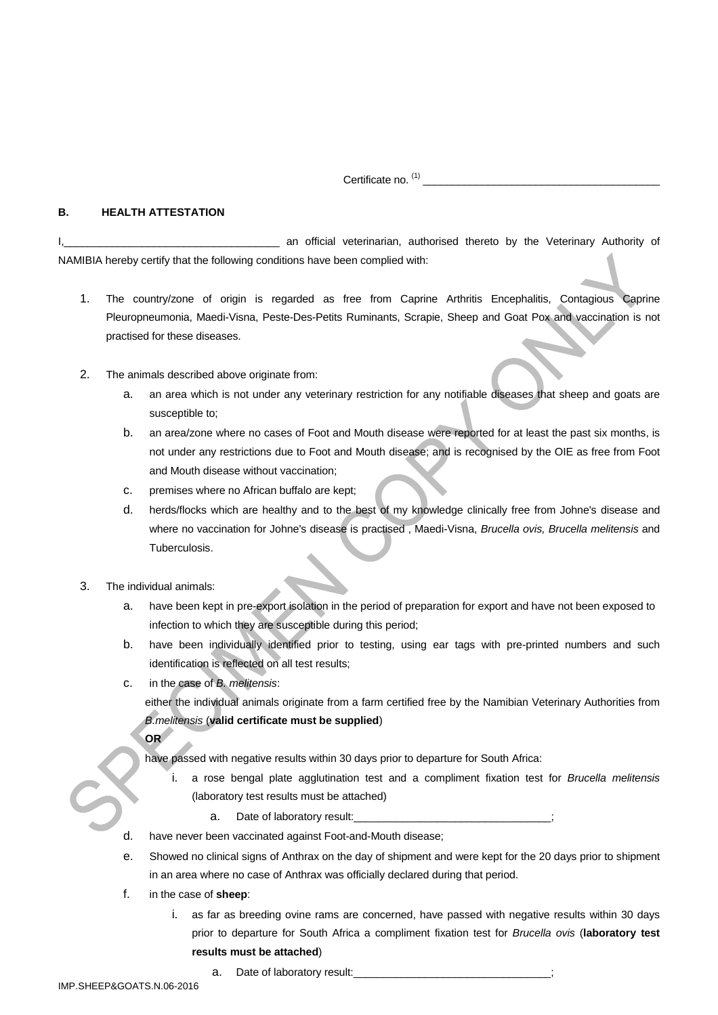Certificate no. (1)

\_\_\_\_\_\_\_\_\_\_\_\_\_\_\_\_\_\_\_\_\_\_\_\_\_\_\_\_\_\_\_\_\_\_\_\_\_\_\_\_

#### **B. HEALTH ATTESTATION**

I, **I, an International and Internation** and official veterinarian, authorised thereto by the Veterinary Authority of NAMIBIA hereby certify that the following conditions have been complied with:

- 1. The country/zone of origin is regarded as free from Caprine Arthritis Encephalitis, Contagious Caprine Pleuropneumonia, Maedi-Visna, Peste-Des-Petits Ruminants, Scrapie, Sheep and Goat Pox and vaccination is not practised for these diseases.
- 2. The animals described above originate from:
	- a. an area which is not under any veterinary restriction for any notifiable diseases that sheep and goats are susceptible to;
	- b. an area/zone where no cases of Foot and Mouth disease were reported for at least the past six months, is not under any restrictions due to Foot and Mouth disease; and is recognised by the OIE as free from Foot and Mouth disease without vaccination;
	- c. premises where no African buffalo are kept;
	- d. herds/flocks which are healthy and to the best of my knowledge clinically free from Johne's disease and where no vaccination for Johne's disease is practised , Maedi-Visna, *Brucella ovis, Brucella melitensis* and Tuberculosis.
- 3. The individual animals:

**OR**

- a. have been kept in pre-export isolation in the period of preparation for export and have not been exposed to infection to which they are susceptible during this period;
- b. have been individually identified prior to testing, using ear tags with pre-printed numbers and such identification is reflected on all test results;
- c. in the case of *B. melitensis*:

either the individual animals originate from a farm certified free by the Namibian Veterinary Authorities from *B.melitensis* (**valid certificate must be supplied**)

have passed with negative results within 30 days prior to departure for South Africa:

- i. a rose bengal plate agglutination test and a compliment fixation test for *Brucella melitensis* (laboratory test results must be attached)
	- a. Date of laboratory result:
- d. have never been vaccinated against Foot-and-Mouth disease;
- e. Showed no clinical signs of Anthrax on the day of shipment and were kept for the 20 days prior to shipment in an area where no case of Anthrax was officially declared during that period.
- f. in the case of **sheep**:
	- i. as far as breeding ovine rams are concerned, have passed with negative results within 30 days prior to departure for South Africa a compliment fixation test for *Brucella ovis* (**laboratory test results must be attached**)
- IMP.SHEEP&GOATS.N.06-2016

a. Date of laboratory result: